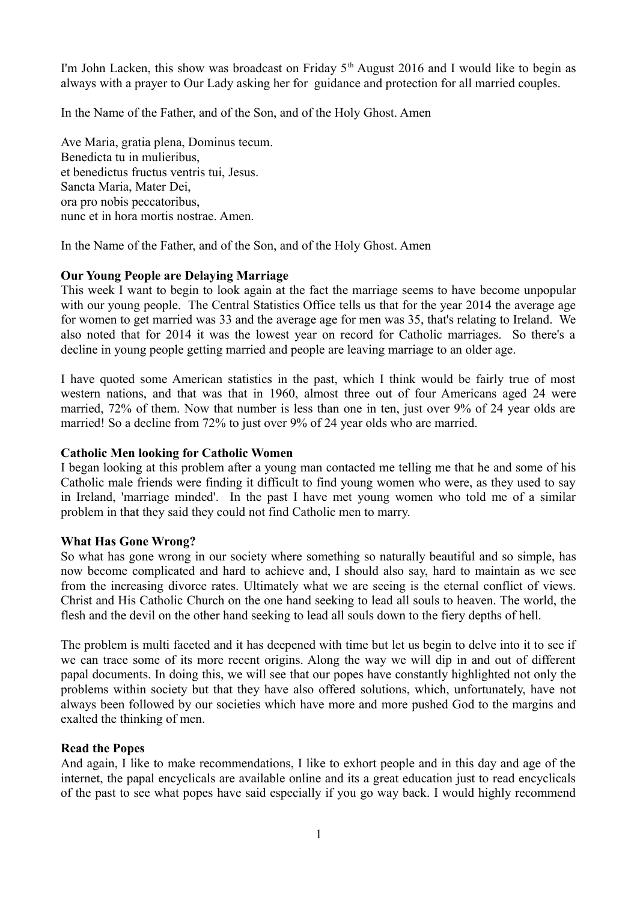I'm John Lacken, this show was broadcast on Friday  $5<sup>th</sup>$  August 2016 and I would like to begin as always with a prayer to Our Lady asking her for guidance and protection for all married couples.

In the Name of the Father, and of the Son, and of the Holy Ghost. Amen

Ave Maria, gratia plena, Dominus tecum. Benedicta tu in mulieribus, et benedictus fructus ventris tui, Jesus. Sancta Maria, Mater Dei, ora pro nobis peccatoribus, nunc et in hora mortis nostrae. Amen.

In the Name of the Father, and of the Son, and of the Holy Ghost. Amen

## **Our Young People are Delaying Marriage**

This week I want to begin to look again at the fact the marriage seems to have become unpopular with our young people. The Central Statistics Office tells us that for the year 2014 the average age for women to get married was 33 and the average age for men was 35, that's relating to Ireland. We also noted that for 2014 it was the lowest year on record for Catholic marriages. So there's a decline in young people getting married and people are leaving marriage to an older age.

I have quoted some American statistics in the past, which I think would be fairly true of most western nations, and that was that in 1960, almost three out of four Americans aged 24 were married, 72% of them. Now that number is less than one in ten, just over 9% of 24 year olds are married! So a decline from 72% to just over 9% of 24 year olds who are married.

### **Catholic Men looking for Catholic Women**

I began looking at this problem after a young man contacted me telling me that he and some of his Catholic male friends were finding it difficult to find young women who were, as they used to say in Ireland, 'marriage minded'. In the past I have met young women who told me of a similar problem in that they said they could not find Catholic men to marry.

### **What Has Gone Wrong?**

So what has gone wrong in our society where something so naturally beautiful and so simple, has now become complicated and hard to achieve and, I should also say, hard to maintain as we see from the increasing divorce rates. Ultimately what we are seeing is the eternal conflict of views. Christ and His Catholic Church on the one hand seeking to lead all souls to heaven. The world, the flesh and the devil on the other hand seeking to lead all souls down to the fiery depths of hell.

The problem is multi faceted and it has deepened with time but let us begin to delve into it to see if we can trace some of its more recent origins. Along the way we will dip in and out of different papal documents. In doing this, we will see that our popes have constantly highlighted not only the problems within society but that they have also offered solutions, which, unfortunately, have not always been followed by our societies which have more and more pushed God to the margins and exalted the thinking of men.

### **Read the Popes**

And again, I like to make recommendations, I like to exhort people and in this day and age of the internet, the papal encyclicals are available online and its a great education just to read encyclicals of the past to see what popes have said especially if you go way back. I would highly recommend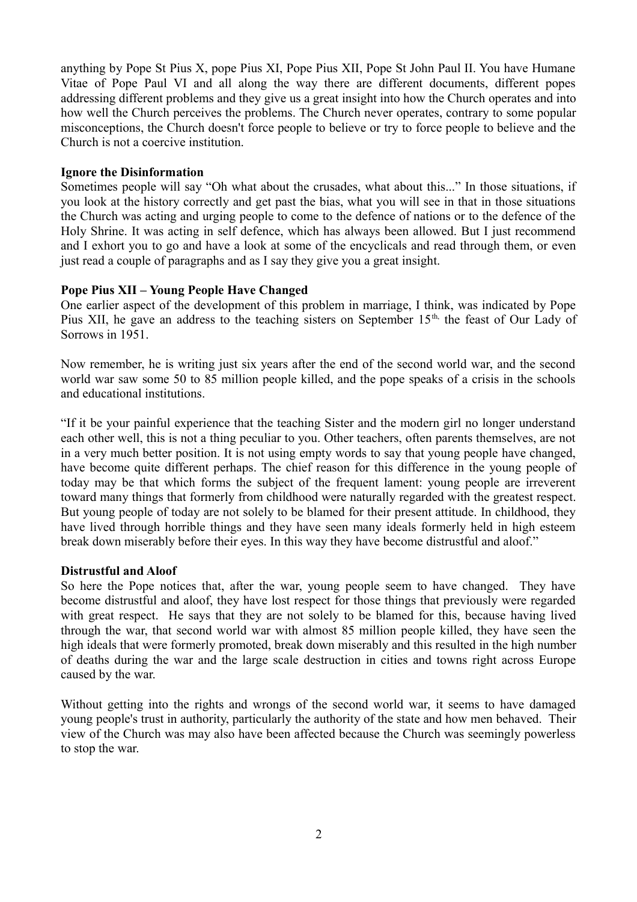anything by Pope St Pius X, pope Pius XI, Pope Pius XII, Pope St John Paul II. You have Humane Vitae of Pope Paul VI and all along the way there are different documents, different popes addressing different problems and they give us a great insight into how the Church operates and into how well the Church perceives the problems. The Church never operates, contrary to some popular misconceptions, the Church doesn't force people to believe or try to force people to believe and the Church is not a coercive institution.

### **Ignore the Disinformation**

Sometimes people will say "Oh what about the crusades, what about this..." In those situations, if you look at the history correctly and get past the bias, what you will see in that in those situations the Church was acting and urging people to come to the defence of nations or to the defence of the Holy Shrine. It was acting in self defence, which has always been allowed. But I just recommend and I exhort you to go and have a look at some of the encyclicals and read through them, or even just read a couple of paragraphs and as I say they give you a great insight.

## **Pope Pius XII – Young People Have Changed**

One earlier aspect of the development of this problem in marriage, I think, was indicated by Pope Pius XII, he gave an address to the teaching sisters on September 15<sup>th,</sup> the feast of Our Lady of Sorrows in 1951.

Now remember, he is writing just six years after the end of the second world war, and the second world war saw some 50 to 85 million people killed, and the pope speaks of a crisis in the schools and educational institutions.

"If it be your painful experience that the teaching Sister and the modern girl no longer understand each other well, this is not a thing peculiar to you. Other teachers, often parents themselves, are not in a very much better position. It is not using empty words to say that young people have changed, have become quite different perhaps. The chief reason for this difference in the young people of today may be that which forms the subject of the frequent lament: young people are irreverent toward many things that formerly from childhood were naturally regarded with the greatest respect. But young people of today are not solely to be blamed for their present attitude. In childhood, they have lived through horrible things and they have seen many ideals formerly held in high esteem break down miserably before their eyes. In this way they have become distrustful and aloof."

### **Distrustful and Aloof**

So here the Pope notices that, after the war, young people seem to have changed. They have become distrustful and aloof, they have lost respect for those things that previously were regarded with great respect. He says that they are not solely to be blamed for this, because having lived through the war, that second world war with almost 85 million people killed, they have seen the high ideals that were formerly promoted, break down miserably and this resulted in the high number of deaths during the war and the large scale destruction in cities and towns right across Europe caused by the war.

Without getting into the rights and wrongs of the second world war, it seems to have damaged young people's trust in authority, particularly the authority of the state and how men behaved. Their view of the Church was may also have been affected because the Church was seemingly powerless to stop the war.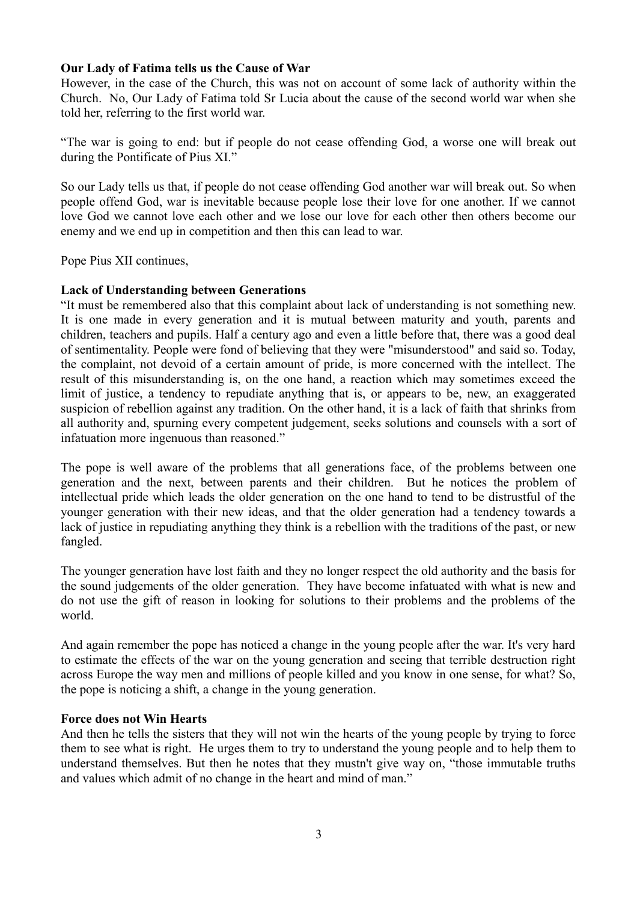### **Our Lady of Fatima tells us the Cause of War**

However, in the case of the Church, this was not on account of some lack of authority within the Church. No, Our Lady of Fatima told Sr Lucia about the cause of the second world war when she told her, referring to the first world war.

"The war is going to end: but if people do not cease offending God, a worse one will break out during the Pontificate of Pius XI."

So our Lady tells us that, if people do not cease offending God another war will break out. So when people offend God, war is inevitable because people lose their love for one another. If we cannot love God we cannot love each other and we lose our love for each other then others become our enemy and we end up in competition and then this can lead to war.

Pope Pius XII continues,

## **Lack of Understanding between Generations**

"It must be remembered also that this complaint about lack of understanding is not something new. It is one made in every generation and it is mutual between maturity and youth, parents and children, teachers and pupils. Half a century ago and even a little before that, there was a good deal of sentimentality. People were fond of believing that they were "misunderstood" and said so. Today, the complaint, not devoid of a certain amount of pride, is more concerned with the intellect. The result of this misunderstanding is, on the one hand, a reaction which may sometimes exceed the limit of justice, a tendency to repudiate anything that is, or appears to be, new, an exaggerated suspicion of rebellion against any tradition. On the other hand, it is a lack of faith that shrinks from all authority and, spurning every competent judgement, seeks solutions and counsels with a sort of infatuation more ingenuous than reasoned."

The pope is well aware of the problems that all generations face, of the problems between one generation and the next, between parents and their children. But he notices the problem of intellectual pride which leads the older generation on the one hand to tend to be distrustful of the younger generation with their new ideas, and that the older generation had a tendency towards a lack of justice in repudiating anything they think is a rebellion with the traditions of the past, or new fangled.

The younger generation have lost faith and they no longer respect the old authority and the basis for the sound judgements of the older generation. They have become infatuated with what is new and do not use the gift of reason in looking for solutions to their problems and the problems of the world.

And again remember the pope has noticed a change in the young people after the war. It's very hard to estimate the effects of the war on the young generation and seeing that terrible destruction right across Europe the way men and millions of people killed and you know in one sense, for what? So, the pope is noticing a shift, a change in the young generation.

### **Force does not Win Hearts**

And then he tells the sisters that they will not win the hearts of the young people by trying to force them to see what is right. He urges them to try to understand the young people and to help them to understand themselves. But then he notes that they mustn't give way on, "those immutable truths and values which admit of no change in the heart and mind of man."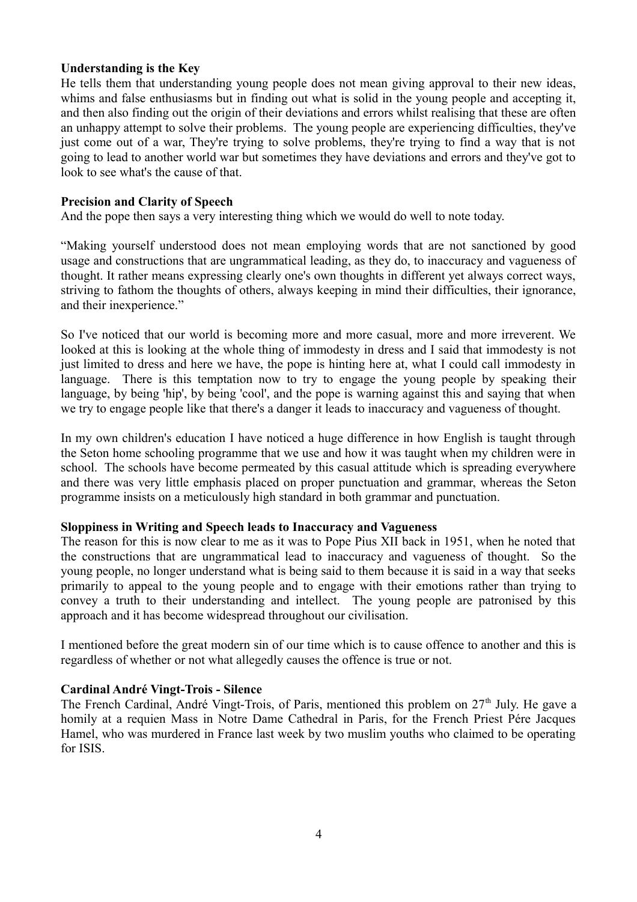### **Understanding is the Key**

He tells them that understanding young people does not mean giving approval to their new ideas, whims and false enthusiasms but in finding out what is solid in the young people and accepting it, and then also finding out the origin of their deviations and errors whilst realising that these are often an unhappy attempt to solve their problems. The young people are experiencing difficulties, they've just come out of a war, They're trying to solve problems, they're trying to find a way that is not going to lead to another world war but sometimes they have deviations and errors and they've got to look to see what's the cause of that.

## **Precision and Clarity of Speech**

And the pope then says a very interesting thing which we would do well to note today.

"Making yourself understood does not mean employing words that are not sanctioned by good usage and constructions that are ungrammatical leading, as they do, to inaccuracy and vagueness of thought. It rather means expressing clearly one's own thoughts in different yet always correct ways, striving to fathom the thoughts of others, always keeping in mind their difficulties, their ignorance, and their inexperience."

So I've noticed that our world is becoming more and more casual, more and more irreverent. We looked at this is looking at the whole thing of immodesty in dress and I said that immodesty is not just limited to dress and here we have, the pope is hinting here at, what I could call immodesty in language. There is this temptation now to try to engage the young people by speaking their language, by being 'hip', by being 'cool', and the pope is warning against this and saying that when we try to engage people like that there's a danger it leads to inaccuracy and vagueness of thought.

In my own children's education I have noticed a huge difference in how English is taught through the Seton home schooling programme that we use and how it was taught when my children were in school. The schools have become permeated by this casual attitude which is spreading everywhere and there was very little emphasis placed on proper punctuation and grammar, whereas the Seton programme insists on a meticulously high standard in both grammar and punctuation.

### **Sloppiness in Writing and Speech leads to Inaccuracy and Vagueness**

The reason for this is now clear to me as it was to Pope Pius XII back in 1951, when he noted that the constructions that are ungrammatical lead to inaccuracy and vagueness of thought. So the young people, no longer understand what is being said to them because it is said in a way that seeks primarily to appeal to the young people and to engage with their emotions rather than trying to convey a truth to their understanding and intellect. The young people are patronised by this approach and it has become widespread throughout our civilisation.

I mentioned before the great modern sin of our time which is to cause offence to another and this is regardless of whether or not what allegedly causes the offence is true or not.

### **Cardinal André Vingt-Trois - Silence**

The French Cardinal, André Vingt-Trois, of Paris, mentioned this problem on 27<sup>th</sup> July. He gave a homily at a requien Mass in Notre Dame Cathedral in Paris, for the French Priest Pére Jacques Hamel, who was murdered in France last week by two muslim youths who claimed to be operating for ISIS.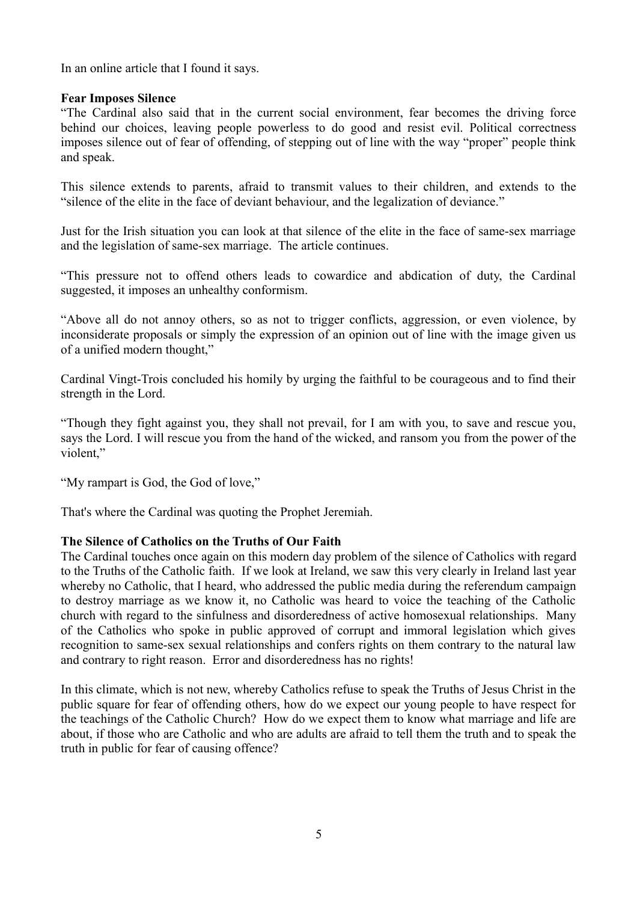In an online article that I found it says.

## **Fear Imposes Silence**

"The Cardinal also said that in the current social environment, fear becomes the driving force behind our choices, leaving people powerless to do good and resist evil. Political correctness imposes silence out of fear of offending, of stepping out of line with the way "proper" people think and speak.

This silence extends to parents, afraid to transmit values to their children, and extends to the "silence of the elite in the face of deviant behaviour, and the legalization of deviance."

Just for the Irish situation you can look at that silence of the elite in the face of same-sex marriage and the legislation of same-sex marriage. The article continues.

"This pressure not to offend others leads to cowardice and abdication of duty, the Cardinal suggested, it imposes an unhealthy conformism.

"Above all do not annoy others, so as not to trigger conflicts, aggression, or even violence, by inconsiderate proposals or simply the expression of an opinion out of line with the image given us of a unified modern thought,"

Cardinal Vingt-Trois concluded his homily by urging the faithful to be courageous and to find their strength in the Lord.

"Though they fight against you, they shall not prevail, for I am with you, to save and rescue you, says the Lord. I will rescue you from the hand of the wicked, and ransom you from the power of the violent,"

"My rampart is God, the God of love,"

That's where the Cardinal was quoting the Prophet Jeremiah.

### **The Silence of Catholics on the Truths of Our Faith**

The Cardinal touches once again on this modern day problem of the silence of Catholics with regard to the Truths of the Catholic faith. If we look at Ireland, we saw this very clearly in Ireland last year whereby no Catholic, that I heard, who addressed the public media during the referendum campaign to destroy marriage as we know it, no Catholic was heard to voice the teaching of the Catholic church with regard to the sinfulness and disorderedness of active homosexual relationships. Many of the Catholics who spoke in public approved of corrupt and immoral legislation which gives recognition to same-sex sexual relationships and confers rights on them contrary to the natural law and contrary to right reason. Error and disorderedness has no rights!

In this climate, which is not new, whereby Catholics refuse to speak the Truths of Jesus Christ in the public square for fear of offending others, how do we expect our young people to have respect for the teachings of the Catholic Church? How do we expect them to know what marriage and life are about, if those who are Catholic and who are adults are afraid to tell them the truth and to speak the truth in public for fear of causing offence?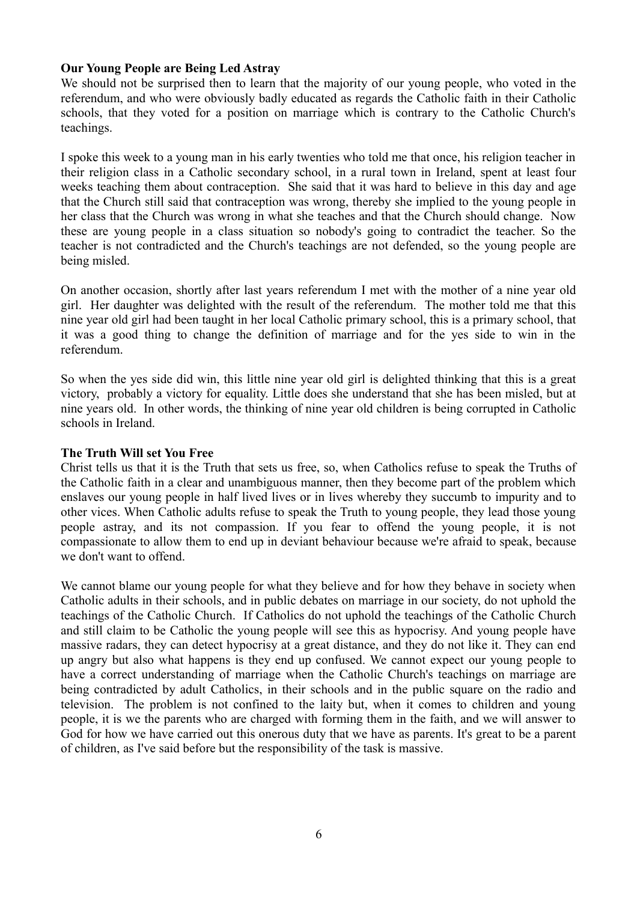#### **Our Young People are Being Led Astray**

We should not be surprised then to learn that the majority of our young people, who voted in the referendum, and who were obviously badly educated as regards the Catholic faith in their Catholic schools, that they voted for a position on marriage which is contrary to the Catholic Church's teachings.

I spoke this week to a young man in his early twenties who told me that once, his religion teacher in their religion class in a Catholic secondary school, in a rural town in Ireland, spent at least four weeks teaching them about contraception. She said that it was hard to believe in this day and age that the Church still said that contraception was wrong, thereby she implied to the young people in her class that the Church was wrong in what she teaches and that the Church should change. Now these are young people in a class situation so nobody's going to contradict the teacher. So the teacher is not contradicted and the Church's teachings are not defended, so the young people are being misled.

On another occasion, shortly after last years referendum I met with the mother of a nine year old girl. Her daughter was delighted with the result of the referendum. The mother told me that this nine year old girl had been taught in her local Catholic primary school, this is a primary school, that it was a good thing to change the definition of marriage and for the yes side to win in the referendum.

So when the yes side did win, this little nine year old girl is delighted thinking that this is a great victory, probably a victory for equality. Little does she understand that she has been misled, but at nine years old. In other words, the thinking of nine year old children is being corrupted in Catholic schools in Ireland.

#### **The Truth Will set You Free**

Christ tells us that it is the Truth that sets us free, so, when Catholics refuse to speak the Truths of the Catholic faith in a clear and unambiguous manner, then they become part of the problem which enslaves our young people in half lived lives or in lives whereby they succumb to impurity and to other vices. When Catholic adults refuse to speak the Truth to young people, they lead those young people astray, and its not compassion. If you fear to offend the young people, it is not compassionate to allow them to end up in deviant behaviour because we're afraid to speak, because we don't want to offend.

We cannot blame our young people for what they believe and for how they behave in society when Catholic adults in their schools, and in public debates on marriage in our society, do not uphold the teachings of the Catholic Church. If Catholics do not uphold the teachings of the Catholic Church and still claim to be Catholic the young people will see this as hypocrisy. And young people have massive radars, they can detect hypocrisy at a great distance, and they do not like it. They can end up angry but also what happens is they end up confused. We cannot expect our young people to have a correct understanding of marriage when the Catholic Church's teachings on marriage are being contradicted by adult Catholics, in their schools and in the public square on the radio and television. The problem is not confined to the laity but, when it comes to children and young people, it is we the parents who are charged with forming them in the faith, and we will answer to God for how we have carried out this onerous duty that we have as parents. It's great to be a parent of children, as I've said before but the responsibility of the task is massive.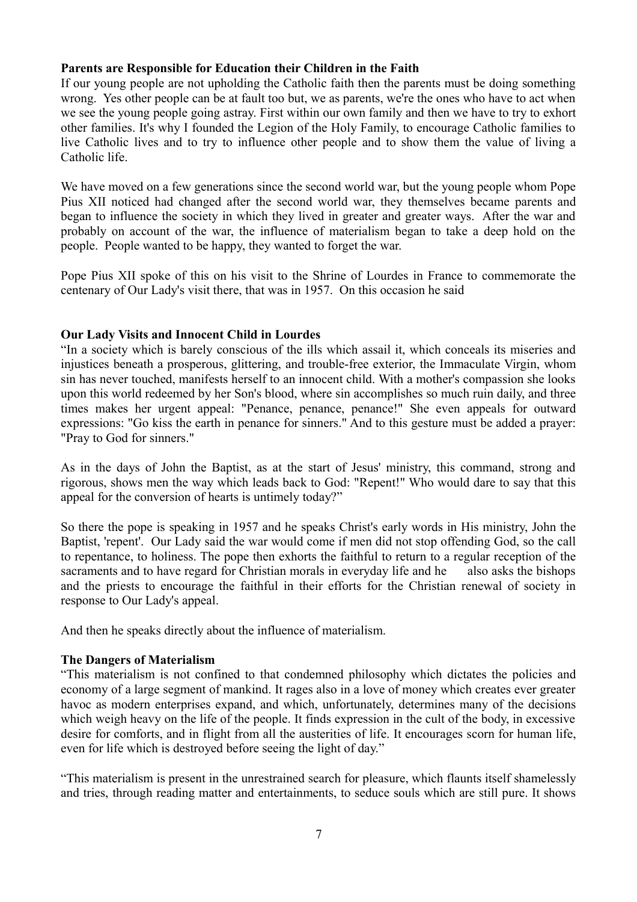### **Parents are Responsible for Education their Children in the Faith**

If our young people are not upholding the Catholic faith then the parents must be doing something wrong. Yes other people can be at fault too but, we as parents, we're the ones who have to act when we see the young people going astray. First within our own family and then we have to try to exhort other families. It's why I founded the Legion of the Holy Family, to encourage Catholic families to live Catholic lives and to try to influence other people and to show them the value of living a Catholic life.

We have moved on a few generations since the second world war, but the young people whom Pope Pius XII noticed had changed after the second world war, they themselves became parents and began to influence the society in which they lived in greater and greater ways. After the war and probably on account of the war, the influence of materialism began to take a deep hold on the people. People wanted to be happy, they wanted to forget the war.

Pope Pius XII spoke of this on his visit to the Shrine of Lourdes in France to commemorate the centenary of Our Lady's visit there, that was in 1957. On this occasion he said

## **Our Lady Visits and Innocent Child in Lourdes**

"In a society which is barely conscious of the ills which assail it, which conceals its miseries and injustices beneath a prosperous, glittering, and trouble-free exterior, the Immaculate Virgin, whom sin has never touched, manifests herself to an innocent child. With a mother's compassion she looks upon this world redeemed by her Son's blood, where sin accomplishes so much ruin daily, and three times makes her urgent appeal: "Penance, penance, penance!" She even appeals for outward expressions: "Go kiss the earth in penance for sinners." And to this gesture must be added a prayer: "Pray to God for sinners."

As in the days of John the Baptist, as at the start of Jesus' ministry, this command, strong and rigorous, shows men the way which leads back to God: "Repent!" Who would dare to say that this appeal for the conversion of hearts is untimely today?"

So there the pope is speaking in 1957 and he speaks Christ's early words in His ministry, John the Baptist, 'repent'. Our Lady said the war would come if men did not stop offending God, so the call to repentance, to holiness. The pope then exhorts the faithful to return to a regular reception of the sacraments and to have regard for Christian morals in everyday life and he also asks the bishops and the priests to encourage the faithful in their efforts for the Christian renewal of society in response to Our Lady's appeal.

And then he speaks directly about the influence of materialism.

### **The Dangers of Materialism**

"This materialism is not confined to that condemned philosophy which dictates the policies and economy of a large segment of mankind. It rages also in a love of money which creates ever greater havoc as modern enterprises expand, and which, unfortunately, determines many of the decisions which weigh heavy on the life of the people. It finds expression in the cult of the body, in excessive desire for comforts, and in flight from all the austerities of life. It encourages scorn for human life, even for life which is destroyed before seeing the light of day."

"This materialism is present in the unrestrained search for pleasure, which flaunts itself shamelessly and tries, through reading matter and entertainments, to seduce souls which are still pure. It shows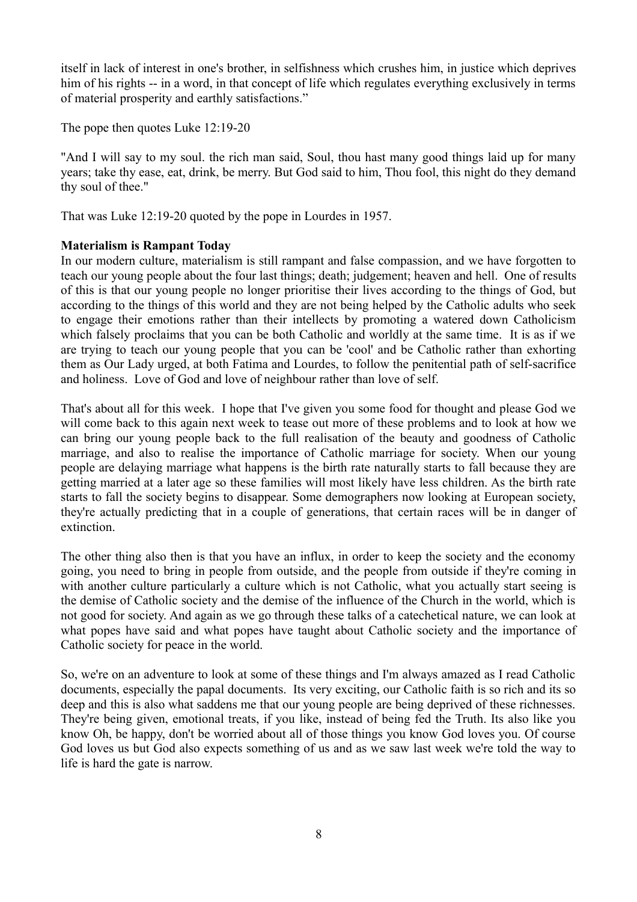itself in lack of interest in one's brother, in selfishness which crushes him, in justice which deprives him of his rights -- in a word, in that concept of life which regulates everything exclusively in terms of material prosperity and earthly satisfactions."

The pope then quotes Luke 12:19-20

"And I will say to my soul. the rich man said, Soul, thou hast many good things laid up for many years; take thy ease, eat, drink, be merry. But God said to him, Thou fool, this night do they demand thy soul of thee."

That was Luke 12:19-20 quoted by the pope in Lourdes in 1957.

# **Materialism is Rampant Today**

In our modern culture, materialism is still rampant and false compassion, and we have forgotten to teach our young people about the four last things; death; judgement; heaven and hell. One of results of this is that our young people no longer prioritise their lives according to the things of God, but according to the things of this world and they are not being helped by the Catholic adults who seek to engage their emotions rather than their intellects by promoting a watered down Catholicism which falsely proclaims that you can be both Catholic and worldly at the same time. It is as if we are trying to teach our young people that you can be 'cool' and be Catholic rather than exhorting them as Our Lady urged, at both Fatima and Lourdes, to follow the penitential path of self-sacrifice and holiness. Love of God and love of neighbour rather than love of self.

That's about all for this week. I hope that I've given you some food for thought and please God we will come back to this again next week to tease out more of these problems and to look at how we can bring our young people back to the full realisation of the beauty and goodness of Catholic marriage, and also to realise the importance of Catholic marriage for society. When our young people are delaying marriage what happens is the birth rate naturally starts to fall because they are getting married at a later age so these families will most likely have less children. As the birth rate starts to fall the society begins to disappear. Some demographers now looking at European society, they're actually predicting that in a couple of generations, that certain races will be in danger of extinction.

The other thing also then is that you have an influx, in order to keep the society and the economy going, you need to bring in people from outside, and the people from outside if they're coming in with another culture particularly a culture which is not Catholic, what you actually start seeing is the demise of Catholic society and the demise of the influence of the Church in the world, which is not good for society. And again as we go through these talks of a catechetical nature, we can look at what popes have said and what popes have taught about Catholic society and the importance of Catholic society for peace in the world.

So, we're on an adventure to look at some of these things and I'm always amazed as I read Catholic documents, especially the papal documents. Its very exciting, our Catholic faith is so rich and its so deep and this is also what saddens me that our young people are being deprived of these richnesses. They're being given, emotional treats, if you like, instead of being fed the Truth. Its also like you know Oh, be happy, don't be worried about all of those things you know God loves you. Of course God loves us but God also expects something of us and as we saw last week we're told the way to life is hard the gate is narrow.